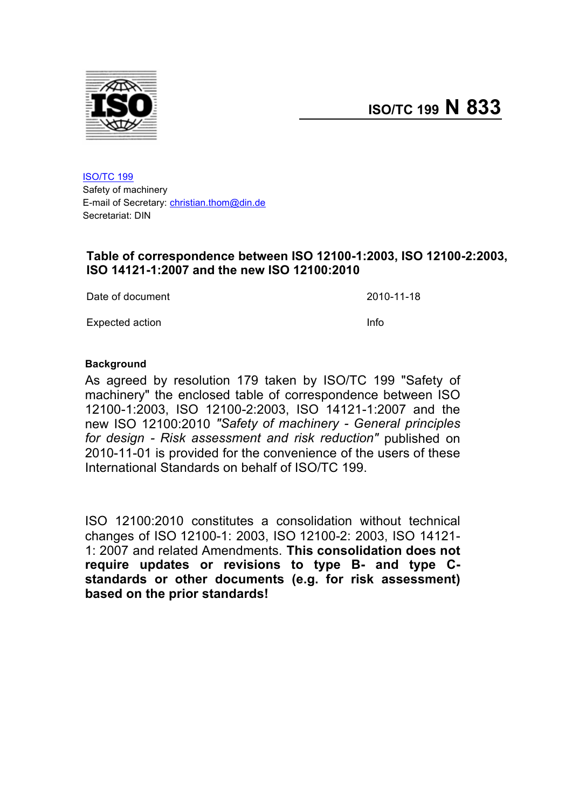

ISO/TC 199 Safety of machinery E-mail of Secretary: christian.thom@din.de Secretariat: DIN

## **Table of correspondence between ISO 12100-1:2003, ISO 12100-2:2003, ISO 14121-1:2007 and the new ISO 12100:2010**

Date of document 2010-11-18

Expected action **Info** 

## **Background**

As agreed by resolution 179 taken by ISO/TC 199 "Safety of machinery" the enclosed table of correspondence between ISO 12100-1:2003, ISO 12100-2:2003, ISO 14121-1:2007 and the new ISO 12100:2010 *"Safety of machinery - General principles for design - Risk assessment and risk reduction"* published on 2010-11-01 is provided for the convenience of the users of these International Standards on behalf of ISO/TC 199.

ISO 12100:2010 constitutes a consolidation without technical changes of ISO 12100-1: 2003, ISO 12100-2: 2003, ISO 14121- 1: 2007 and related Amendments. **This consolidation does not require updates or revisions to type B- and type Cstandards or other documents (e.g. for risk assessment) based on the prior standards!**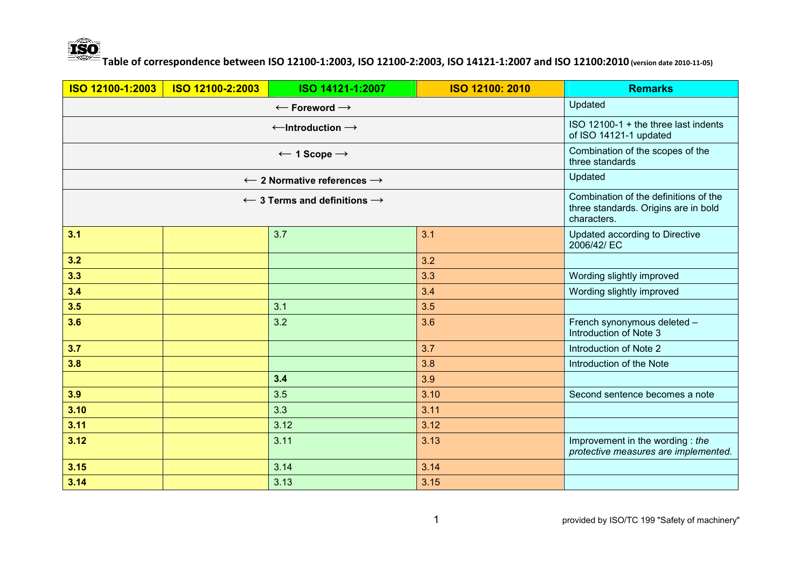

| ISO 12100-1:2003 | ISO 12100-2:2003                                                                             | ISO 14121-1:2007                                  | ISO 12100: 2010 | <b>Remarks</b>                                                          |
|------------------|----------------------------------------------------------------------------------------------|---------------------------------------------------|-----------------|-------------------------------------------------------------------------|
|                  |                                                                                              | $\leftarrow$ Foreword $\rightarrow$               |                 | Updated                                                                 |
|                  |                                                                                              | $\leftarrow$ Introduction $\rightarrow$           |                 | ISO 12100-1 + the three last indents<br>of ISO 14121-1 updated          |
|                  |                                                                                              | $\leftarrow$ 1 Scope $\rightarrow$                |                 | Combination of the scopes of the<br>three standards                     |
|                  |                                                                                              | $\leftarrow$ 2 Normative references $\rightarrow$ |                 | Updated                                                                 |
|                  | Combination of the definitions of the<br>three standards. Origins are in bold<br>characters. |                                                   |                 |                                                                         |
| 3.1              |                                                                                              | 3.7                                               | 3.1             | Updated according to Directive<br>2006/42/ EC                           |
| 3.2              |                                                                                              |                                                   | 3.2             |                                                                         |
| 3.3              |                                                                                              |                                                   | 3.3             | Wording slightly improved                                               |
| 3.4              |                                                                                              |                                                   | 3.4             | Wording slightly improved                                               |
| 3.5              |                                                                                              | 3.1                                               | 3.5             |                                                                         |
| 3.6              |                                                                                              | 3.2                                               | 3.6             | French synonymous deleted -<br>Introduction of Note 3                   |
| 3.7              |                                                                                              |                                                   | 3.7             | Introduction of Note 2                                                  |
| 3.8              |                                                                                              |                                                   | 3.8             | Introduction of the Note                                                |
|                  |                                                                                              | 3.4                                               | 3.9             |                                                                         |
| 3.9              |                                                                                              | 3.5                                               | 3.10            | Second sentence becomes a note                                          |
| 3.10             |                                                                                              | 3.3                                               | 3.11            |                                                                         |
| 3.11             |                                                                                              | 3.12                                              | 3.12            |                                                                         |
| 3.12             |                                                                                              | 3.11                                              | 3.13            | Improvement in the wording: the<br>protective measures are implemented. |
| 3.15             |                                                                                              | 3.14                                              | 3.14            |                                                                         |
| 3.14             |                                                                                              | 3.13                                              | 3.15            |                                                                         |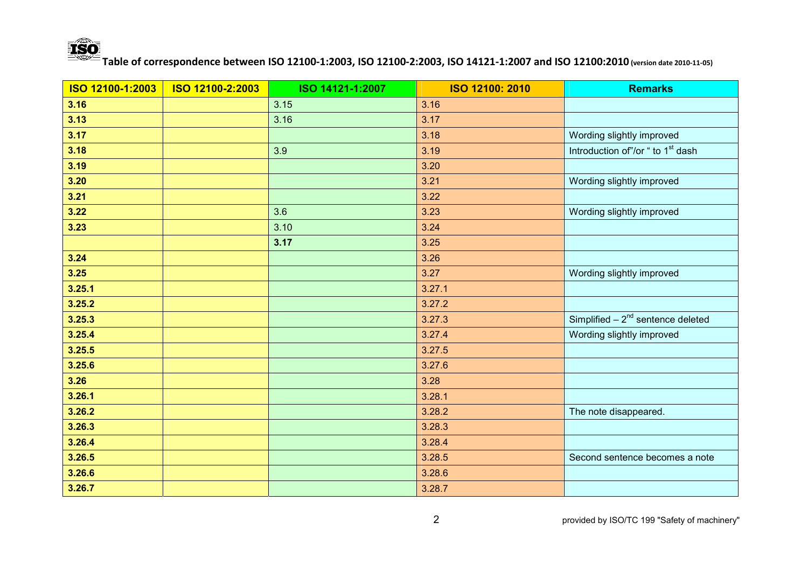

| ISO 12100-1:2003 | ISO 12100-2:2003 | ISO 14121-1:2007 | ISO 12100: 2010 | <b>Remarks</b>                                |
|------------------|------------------|------------------|-----------------|-----------------------------------------------|
| 3.16             |                  | 3.15             | 3.16            |                                               |
| 3.13             |                  | 3.16             | 3.17            |                                               |
| 3.17             |                  |                  | 3.18            | Wording slightly improved                     |
| 3.18             |                  | 3.9              | 3.19            | Introduction of"/or " to 1 <sup>st</sup> dash |
| 3.19             |                  |                  | 3.20            |                                               |
| 3.20             |                  |                  | 3.21            | Wording slightly improved                     |
| $3.21$           |                  |                  | 3.22            |                                               |
| 3.22             |                  | 3.6              | 3.23            | Wording slightly improved                     |
| 3.23             |                  | 3.10             | 3.24            |                                               |
|                  |                  | 3.17             | 3.25            |                                               |
| 3.24             |                  |                  | 3.26            |                                               |
| $3.25$           |                  |                  | 3.27            | Wording slightly improved                     |
| 3.25.1           |                  |                  | 3.27.1          |                                               |
| 3.25.2           |                  |                  | 3.27.2          |                                               |
| 3.25.3           |                  |                  | 3.27.3          | Simplified $-2^{nd}$ sentence deleted         |
| 3.25.4           |                  |                  | 3.27.4          | Wording slightly improved                     |
| 3.25.5           |                  |                  | 3.27.5          |                                               |
| 3.25.6           |                  |                  | 3.27.6          |                                               |
| 3.26             |                  |                  | 3.28            |                                               |
| 3.26.1           |                  |                  | 3.28.1          |                                               |
| 3.26.2           |                  |                  | 3.28.2          | The note disappeared.                         |
| 3.26.3           |                  |                  | 3.28.3          |                                               |
| 3.26.4           |                  |                  | 3.28.4          |                                               |
| 3.26.5           |                  |                  | 3.28.5          | Second sentence becomes a note                |
| 3.26.6           |                  |                  | 3.28.6          |                                               |
| 3.26.7           |                  |                  | 3.28.7          |                                               |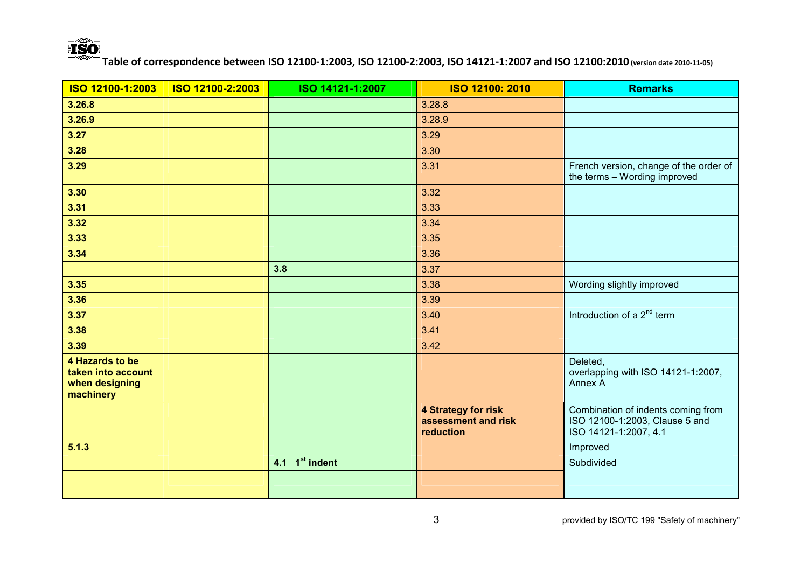

| ISO 12100-1:2003                                                     | ISO 12100-2:2003 | ISO 14121-1:2007           | ISO 12100: 2010                                                | <b>Remarks</b>                                                                                |
|----------------------------------------------------------------------|------------------|----------------------------|----------------------------------------------------------------|-----------------------------------------------------------------------------------------------|
| 3.26.8                                                               |                  |                            | 3.28.8                                                         |                                                                                               |
| 3.26.9                                                               |                  |                            | 3.28.9                                                         |                                                                                               |
| 3.27                                                                 |                  |                            | 3.29                                                           |                                                                                               |
| 3.28                                                                 |                  |                            | 3.30                                                           |                                                                                               |
| 3.29                                                                 |                  |                            | 3.31                                                           | French version, change of the order of<br>the terms - Wording improved                        |
| 3.30                                                                 |                  |                            | 3.32                                                           |                                                                                               |
| 3.31                                                                 |                  |                            | 3.33                                                           |                                                                                               |
| 3.32                                                                 |                  |                            | 3.34                                                           |                                                                                               |
| 3.33                                                                 |                  |                            | 3.35                                                           |                                                                                               |
| 3.34                                                                 |                  |                            | 3.36                                                           |                                                                                               |
|                                                                      |                  | 3.8                        | 3.37                                                           |                                                                                               |
| 3.35                                                                 |                  |                            | 3.38                                                           | Wording slightly improved                                                                     |
| 3.36                                                                 |                  |                            | 3.39                                                           |                                                                                               |
| 3.37                                                                 |                  |                            | 3.40                                                           | Introduction of a 2 <sup>nd</sup> term                                                        |
| 3.38                                                                 |                  |                            | 3.41                                                           |                                                                                               |
| 3.39                                                                 |                  |                            | 3.42                                                           |                                                                                               |
| 4 Hazards to be<br>taken into account<br>when designing<br>machinery |                  |                            |                                                                | Deleted,<br>overlapping with ISO 14121-1:2007,<br>Annex A                                     |
|                                                                      |                  |                            | <b>4 Strategy for risk</b><br>assessment and risk<br>reduction | Combination of indents coming from<br>ISO 12100-1:2003, Clause 5 and<br>ISO 14121-1:2007, 4.1 |
| 5.1.3                                                                |                  |                            |                                                                | Improved                                                                                      |
|                                                                      |                  | 4.1 1 <sup>st</sup> indent |                                                                | Subdivided                                                                                    |
|                                                                      |                  |                            |                                                                |                                                                                               |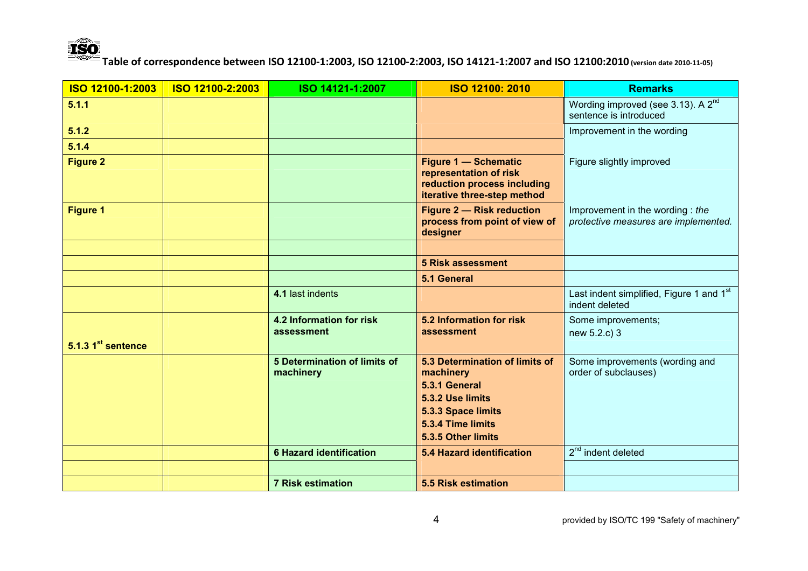

| ISO 12100-1:2003               | ISO 12100-2:2003 | ISO 14121-1:2007                                 | <b>ISO 12100: 2010</b>                                                                                              | <b>Remarks</b>                                                           |
|--------------------------------|------------------|--------------------------------------------------|---------------------------------------------------------------------------------------------------------------------|--------------------------------------------------------------------------|
| 5.1.1                          |                  |                                                  |                                                                                                                     | Wording improved (see 3.13). A 2 <sup>nd</sup><br>sentence is introduced |
| 5.1.2                          |                  |                                                  |                                                                                                                     | Improvement in the wording                                               |
| 5.1.4                          |                  |                                                  |                                                                                                                     |                                                                          |
| <b>Figure 2</b>                |                  |                                                  | <b>Figure 1 - Schematic</b><br>representation of risk<br>reduction process including<br>iterative three-step method | Figure slightly improved                                                 |
| <b>Figure 1</b>                |                  |                                                  | <b>Figure 2 - Risk reduction</b><br>process from point of view of<br>designer                                       | Improvement in the wording: the<br>protective measures are implemented.  |
|                                |                  |                                                  |                                                                                                                     |                                                                          |
|                                |                  |                                                  | <b>5 Risk assessment</b>                                                                                            |                                                                          |
|                                |                  |                                                  | 5.1 General                                                                                                         |                                                                          |
|                                |                  | 4.1 last indents                                 |                                                                                                                     | Last indent simplified, Figure 1 and 1st<br>indent deleted               |
|                                |                  | <b>4.2 Information for risk</b><br>assessment    | 5.2 Information for risk<br>assessment                                                                              | Some improvements;<br>new 5.2.c) 3                                       |
| 5.1.3 1 <sup>st</sup> sentence |                  |                                                  |                                                                                                                     |                                                                          |
|                                |                  | <b>5 Determination of limits of</b><br>machinery | 5.3 Determination of limits of<br>machinery                                                                         | Some improvements (wording and<br>order of subclauses)                   |
|                                |                  |                                                  | 5.3.1 General                                                                                                       |                                                                          |
|                                |                  |                                                  | 5.3.2 Use limits                                                                                                    |                                                                          |
|                                |                  |                                                  | 5.3.3 Space limits                                                                                                  |                                                                          |
|                                |                  |                                                  | 5.3.4 Time limits<br>5.3.5 Other limits                                                                             |                                                                          |
|                                |                  |                                                  |                                                                                                                     | $2nd$ indent deleted                                                     |
|                                |                  | <b>6 Hazard identification</b>                   | <b>5.4 Hazard identification</b>                                                                                    |                                                                          |
|                                |                  |                                                  |                                                                                                                     |                                                                          |
|                                |                  | <b>7 Risk estimation</b>                         | <b>5.5 Risk estimation</b>                                                                                          |                                                                          |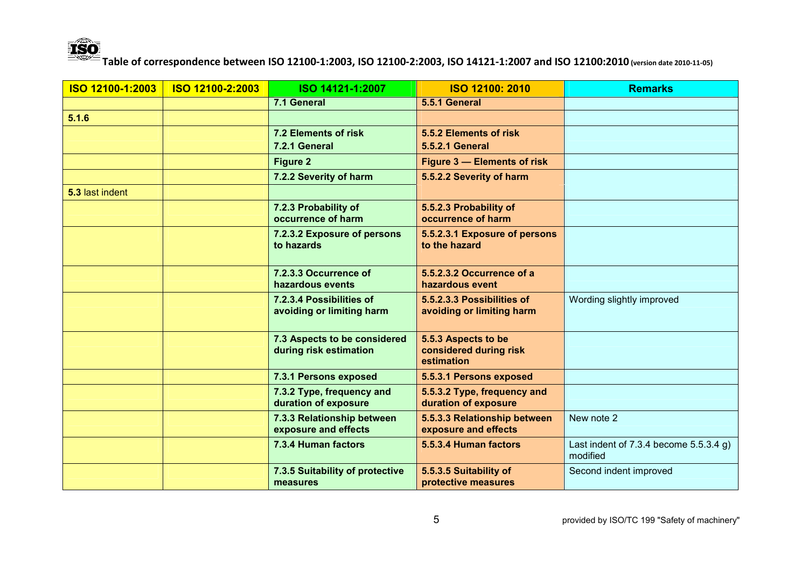

| ISO 12100-1:2003 | ISO 12100-2:2003 | ISO 14121-1:2007                                       | ISO 12100: 2010                                             | <b>Remarks</b>                                         |
|------------------|------------------|--------------------------------------------------------|-------------------------------------------------------------|--------------------------------------------------------|
|                  |                  | 7.1 General                                            | 5.5.1 General                                               |                                                        |
| 5.1.6            |                  |                                                        |                                                             |                                                        |
|                  |                  | 7.2 Elements of risk                                   | 5.5.2 Elements of risk                                      |                                                        |
|                  |                  | 7.2.1 General                                          | <b>5.5.2.1 General</b>                                      |                                                        |
|                  |                  | <b>Figure 2</b>                                        | Figure 3 - Elements of risk                                 |                                                        |
|                  |                  | 7.2.2 Severity of harm                                 | 5.5.2.2 Severity of harm                                    |                                                        |
| 5.3 last indent  |                  |                                                        |                                                             |                                                        |
|                  |                  | 7.2.3 Probability of<br>occurrence of harm             | 5.5.2.3 Probability of<br>occurrence of harm                |                                                        |
|                  |                  | 7.2.3.2 Exposure of persons<br>to hazards              | 5.5.2.3.1 Exposure of persons<br>to the hazard              |                                                        |
|                  |                  | 7.2.3.3 Occurrence of<br>hazardous events              | 5.5.2.3.2 Occurrence of a<br>hazardous event                |                                                        |
|                  |                  | 7.2.3.4 Possibilities of<br>avoiding or limiting harm  | 5.5.2.3.3 Possibilities of<br>avoiding or limiting harm     | Wording slightly improved                              |
|                  |                  | 7.3 Aspects to be considered<br>during risk estimation | 5.5.3 Aspects to be<br>considered during risk<br>estimation |                                                        |
|                  |                  | 7.3.1 Persons exposed                                  | 5.5.3.1 Persons exposed                                     |                                                        |
|                  |                  | 7.3.2 Type, frequency and<br>duration of exposure      | 5.5.3.2 Type, frequency and<br>duration of exposure         |                                                        |
|                  |                  | 7.3.3 Relationship between<br>exposure and effects     | 5.5.3.3 Relationship between<br>exposure and effects        | New note 2                                             |
|                  |                  | 7.3.4 Human factors                                    | 5.5.3.4 Human factors                                       | Last indent of $7.3.4$ become $5.5.3.4$ g)<br>modified |
|                  |                  | 7.3.5 Suitability of protective<br>measures            | 5.5.3.5 Suitability of<br>protective measures               | Second indent improved                                 |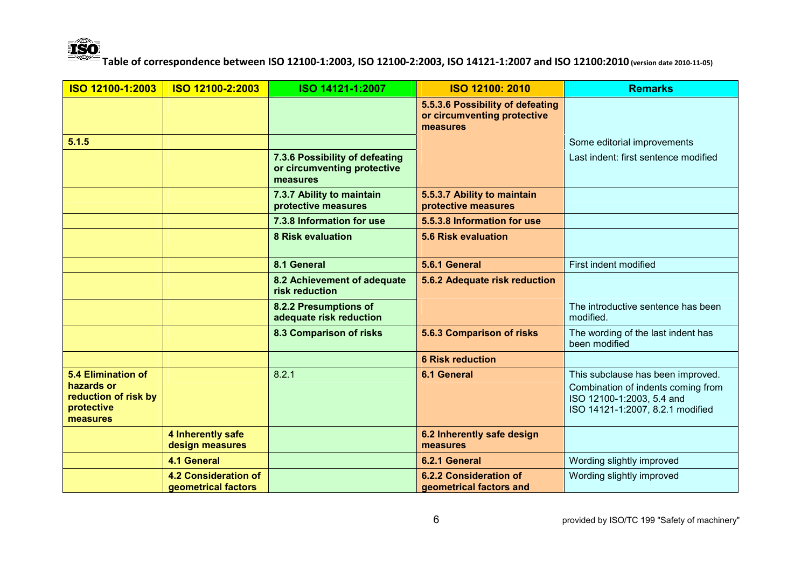

| ISO 12100-1:2003                                                                          | ISO 12100-2:2003                                          | ISO 14121-1:2007                                                          | <b>ISO 12100: 2010</b>                                                      | <b>Remarks</b>                                                                                                                           |
|-------------------------------------------------------------------------------------------|-----------------------------------------------------------|---------------------------------------------------------------------------|-----------------------------------------------------------------------------|------------------------------------------------------------------------------------------------------------------------------------------|
|                                                                                           |                                                           |                                                                           | 5.5.3.6 Possibility of defeating<br>or circumventing protective<br>measures |                                                                                                                                          |
| 5.1.5                                                                                     |                                                           |                                                                           |                                                                             | Some editorial improvements                                                                                                              |
|                                                                                           |                                                           | 7.3.6 Possibility of defeating<br>or circumventing protective<br>measures |                                                                             | Last indent: first sentence modified                                                                                                     |
|                                                                                           |                                                           | 7.3.7 Ability to maintain<br>protective measures                          | 5.5.3.7 Ability to maintain<br>protective measures                          |                                                                                                                                          |
|                                                                                           |                                                           | 7.3.8 Information for use                                                 | 5.5.3.8 Information for use                                                 |                                                                                                                                          |
|                                                                                           |                                                           | <b>8 Risk evaluation</b>                                                  | 5.6 Risk evaluation                                                         |                                                                                                                                          |
|                                                                                           |                                                           | 8.1 General                                                               | 5.6.1 General                                                               | First indent modified                                                                                                                    |
|                                                                                           |                                                           | 8.2 Achievement of adequate<br>risk reduction                             | 5.6.2 Adequate risk reduction                                               |                                                                                                                                          |
|                                                                                           |                                                           | 8.2.2 Presumptions of<br>adequate risk reduction                          |                                                                             | The introductive sentence has been<br>modified.                                                                                          |
|                                                                                           |                                                           | 8.3 Comparison of risks                                                   | 5.6.3 Comparison of risks                                                   | The wording of the last indent has<br>been modified                                                                                      |
|                                                                                           |                                                           |                                                                           | <b>6 Risk reduction</b>                                                     |                                                                                                                                          |
| <b>5.4 Elimination of</b><br>hazards or<br>reduction of risk by<br>protective<br>measures |                                                           | 8.2.1                                                                     | <b>6.1 General</b>                                                          | This subclause has been improved.<br>Combination of indents coming from<br>ISO 12100-1:2003, 5.4 and<br>ISO 14121-1:2007, 8.2.1 modified |
|                                                                                           | 4 Inherently safe<br>design measures                      |                                                                           | 6.2 Inherently safe design<br>measures                                      |                                                                                                                                          |
|                                                                                           | <b>4.1 General</b>                                        |                                                                           | 6.2.1 General                                                               | Wording slightly improved                                                                                                                |
|                                                                                           | <b>4.2 Consideration of</b><br><b>aeometrical factors</b> |                                                                           | <b>6.2.2 Consideration of</b><br>geometrical factors and                    | Wording slightly improved                                                                                                                |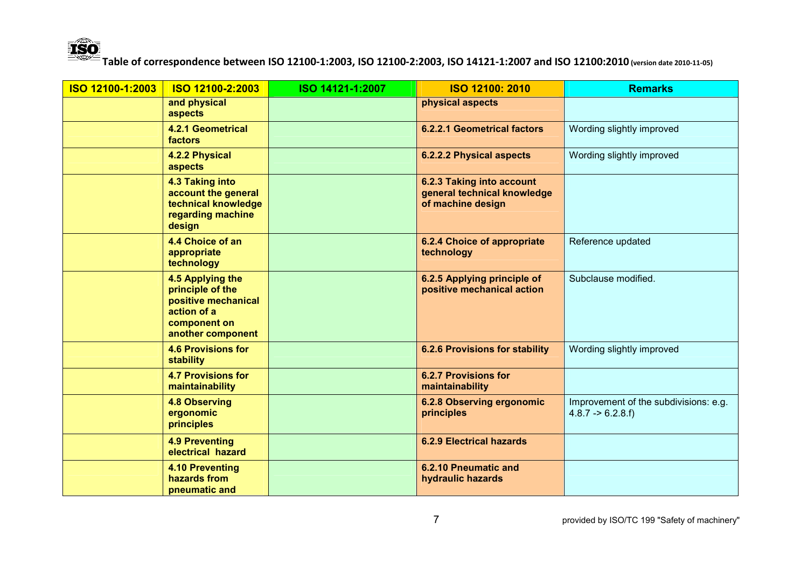

| ISO 12100-1:2003 | ISO 12100-2:2003                                                                                                | ISO 14121-1:2007 | <b>ISO 12100: 2010</b>                                                        | <b>Remarks</b>                                                       |
|------------------|-----------------------------------------------------------------------------------------------------------------|------------------|-------------------------------------------------------------------------------|----------------------------------------------------------------------|
|                  | and physical<br>aspects                                                                                         |                  | physical aspects                                                              |                                                                      |
|                  | <b>4.2.1 Geometrical</b><br>factors                                                                             |                  | <b>6.2.2.1 Geometrical factors</b>                                            | Wording slightly improved                                            |
|                  | 4.2.2 Physical<br>aspects                                                                                       |                  | 6.2.2.2 Physical aspects                                                      | Wording slightly improved                                            |
|                  | <b>4.3 Taking into</b><br>account the general<br>technical knowledge<br>regarding machine<br>design             |                  | 6.2.3 Taking into account<br>general technical knowledge<br>of machine design |                                                                      |
|                  | 4.4 Choice of an<br>appropriate<br>technology                                                                   |                  | 6.2.4 Choice of appropriate<br>technology                                     | Reference updated                                                    |
|                  | 4.5 Applying the<br>principle of the<br>positive mechanical<br>action of a<br>component on<br>another component |                  | 6.2.5 Applying principle of<br>positive mechanical action                     | Subclause modified.                                                  |
|                  | <b>4.6 Provisions for</b><br><b>stability</b>                                                                   |                  | <b>6.2.6 Provisions for stability</b>                                         | Wording slightly improved                                            |
|                  | <b>4.7 Provisions for</b><br>maintainability                                                                    |                  | <b>6.2.7 Provisions for</b><br>maintainability                                |                                                                      |
|                  | <b>4.8 Observing</b><br>ergonomic<br>principles                                                                 |                  | 6.2.8 Observing ergonomic<br>principles                                       | Improvement of the subdivisions: e.g.<br>$4.8.7 \rightarrow 6.2.8.f$ |
|                  | <b>4.9 Preventing</b><br>electrical hazard                                                                      |                  | <b>6.2.9 Electrical hazards</b>                                               |                                                                      |
|                  | <b>4.10 Preventing</b><br>hazards from<br>pneumatic and                                                         |                  | 6.2.10 Pneumatic and<br>hydraulic hazards                                     |                                                                      |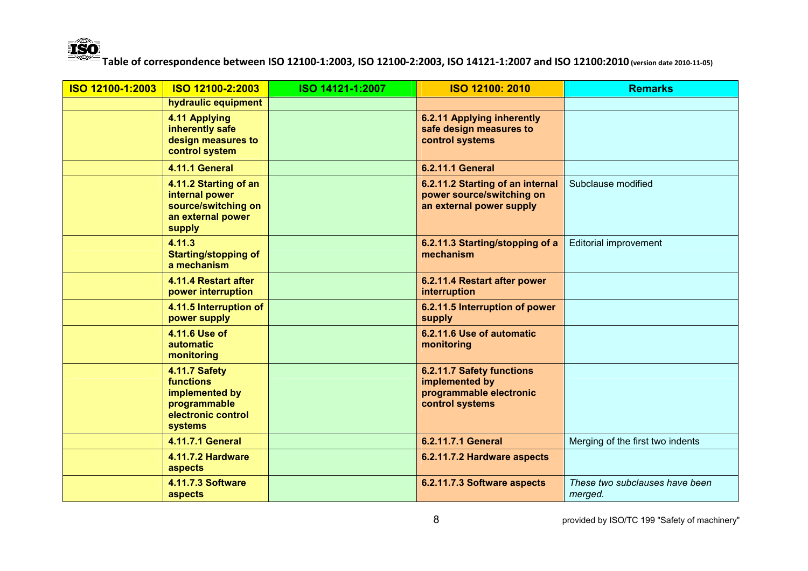

| ISO 12100-1:2003 | ISO 12100-2:2003                                                                                                   | ISO 14121-1:2007 | ISO 12100: 2010                                                                           | <b>Remarks</b>                            |
|------------------|--------------------------------------------------------------------------------------------------------------------|------------------|-------------------------------------------------------------------------------------------|-------------------------------------------|
|                  | hydraulic equipment                                                                                                |                  |                                                                                           |                                           |
|                  | 4.11 Applying<br>inherently safe<br>design measures to<br>control system                                           |                  | 6.2.11 Applying inherently<br>safe design measures to<br>control systems                  |                                           |
|                  | 4.11.1 General                                                                                                     |                  | <b>6.2.11.1 General</b>                                                                   |                                           |
|                  | 4.11.2 Starting of an<br>internal power<br>source/switching on<br>an external power<br>supply                      |                  | 6.2.11.2 Starting of an internal<br>power source/switching on<br>an external power supply | Subclause modified                        |
|                  | 4.11.3<br><b>Starting/stopping of</b><br>a mechanism                                                               |                  | 6.2.11.3 Starting/stopping of a<br>mechanism                                              | <b>Editorial improvement</b>              |
|                  | 4.11.4 Restart after<br>power interruption                                                                         |                  | 6.2.11.4 Restart after power<br>interruption                                              |                                           |
|                  | 4.11.5 Interruption of<br>power supply                                                                             |                  | 6.2.11.5 Interruption of power<br>supply                                                  |                                           |
|                  | 4.11.6 Use of<br><b>automatic</b><br>monitoring                                                                    |                  | 6.2.11.6 Use of automatic<br>monitoring                                                   |                                           |
|                  | <b>4.11.7 Safety</b><br><b>functions</b><br>implemented by<br>programmable<br>electronic control<br><b>systems</b> |                  | 6.2.11.7 Safety functions<br>implemented by<br>programmable electronic<br>control systems |                                           |
|                  | 4.11.7.1 General                                                                                                   |                  | 6.2.11.7.1 General                                                                        | Merging of the first two indents          |
|                  | <b>4.11.7.2 Hardware</b><br>aspects                                                                                |                  | 6.2.11.7.2 Hardware aspects                                                               |                                           |
|                  | <b>4.11.7.3 Software</b><br>aspects                                                                                |                  | 6.2.11.7.3 Software aspects                                                               | These two subclauses have been<br>merged. |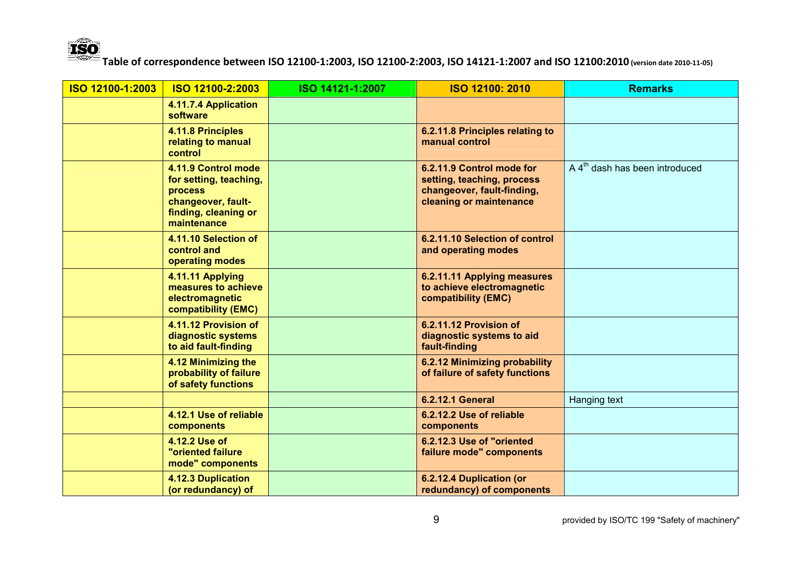

| ISO 12100-1:2003 | ISO 12100-2:2003                                                                                                             | ISO 14121-1:2007 | <b>ISO 12100: 2010</b>                                                                                           | <b>Remarks</b>                             |
|------------------|------------------------------------------------------------------------------------------------------------------------------|------------------|------------------------------------------------------------------------------------------------------------------|--------------------------------------------|
|                  | 4.11.7.4 Application<br>software                                                                                             |                  |                                                                                                                  |                                            |
|                  | 4.11.8 Principles<br>relating to manual<br>control                                                                           |                  | 6.2.11.8 Principles relating to<br>manual control                                                                |                                            |
|                  | 4.11.9 Control mode<br>for setting, teaching,<br><b>process</b><br>changeover, fault-<br>finding, cleaning or<br>maintenance |                  | 6.2.11.9 Control mode for<br>setting, teaching, process<br>changeover, fault-finding,<br>cleaning or maintenance | A 4 <sup>th</sup> dash has been introduced |
|                  | 4.11.10 Selection of<br>control and<br>operating modes                                                                       |                  | 6.2.11.10 Selection of control<br>and operating modes                                                            |                                            |
|                  | 4.11.11 Applying<br>measures to achieve<br>electromagnetic<br><b>compatibility (EMC)</b>                                     |                  | 6.2.11.11 Applying measures<br>to achieve electromagnetic<br>compatibility (EMC)                                 |                                            |
|                  | 4.11.12 Provision of<br>diagnostic systems<br>to aid fault-finding                                                           |                  | 6.2.11.12 Provision of<br>diagnostic systems to aid<br>fault-finding                                             |                                            |
|                  | 4.12 Minimizing the<br>probability of failure<br>of safety functions                                                         |                  | 6.2.12 Minimizing probability<br>of failure of safety functions                                                  |                                            |
|                  |                                                                                                                              |                  | <b>6.2.12.1 General</b>                                                                                          | Hanging text                               |
|                  | 4.12.1 Use of reliable<br>components                                                                                         |                  | 6.2.12.2 Use of reliable<br>components                                                                           |                                            |
|                  | 4.12.2 Use of<br><b>"oriented failure</b><br>mode" components                                                                |                  | 6.2.12.3 Use of "oriented<br>failure mode" components                                                            |                                            |
|                  | 4.12.3 Duplication<br>(or redundancy) of                                                                                     |                  | 6.2.12.4 Duplication (or<br>redundancy) of components                                                            |                                            |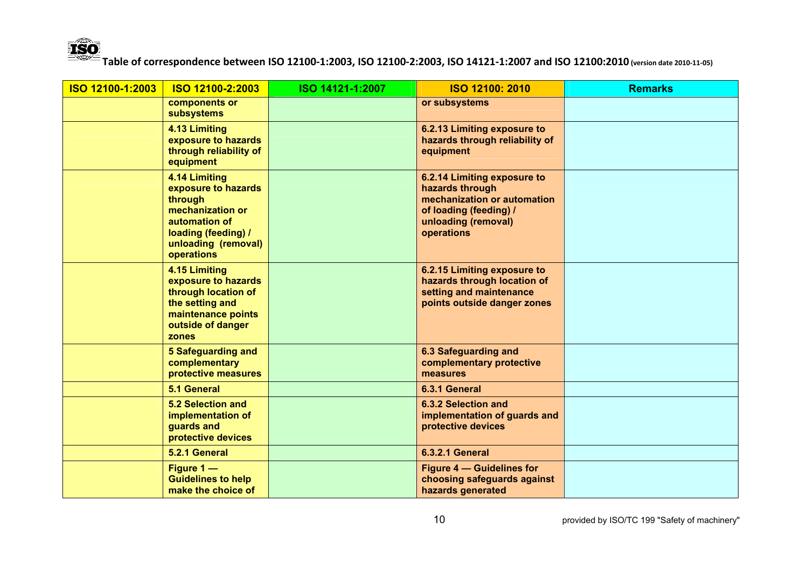

| ISO 12100-1:2003 | ISO 12100-2:2003                                                                                                                                 | ISO 14121-1:2007 | <b>ISO 12100: 2010</b>                                                                                                                       | <b>Remarks</b> |
|------------------|--------------------------------------------------------------------------------------------------------------------------------------------------|------------------|----------------------------------------------------------------------------------------------------------------------------------------------|----------------|
|                  | components or<br><b>subsystems</b>                                                                                                               |                  | or subsystems                                                                                                                                |                |
|                  | 4.13 Limiting<br>exposure to hazards<br>through reliability of<br>equipment                                                                      |                  | 6.2.13 Limiting exposure to<br>hazards through reliability of<br>equipment                                                                   |                |
|                  | 4.14 Limiting<br>exposure to hazards<br>through<br>mechanization or<br>automation of<br>loading (feeding) /<br>unloading (removal)<br>operations |                  | 6.2.14 Limiting exposure to<br>hazards through<br>mechanization or automation<br>of loading (feeding) /<br>unloading (removal)<br>operations |                |
|                  | 4.15 Limiting<br>exposure to hazards<br>through location of<br>the setting and<br>maintenance points<br>outside of danger<br>zones               |                  | 6.2.15 Limiting exposure to<br>hazards through location of<br>setting and maintenance<br>points outside danger zones                         |                |
|                  | <b>5 Safeguarding and</b><br>complementary<br>protective measures                                                                                |                  | <b>6.3 Safeguarding and</b><br>complementary protective<br>measures                                                                          |                |
|                  | 5.1 General                                                                                                                                      |                  | 6.3.1 General                                                                                                                                |                |
|                  | <b>5.2 Selection and</b><br>implementation of<br>guards and<br>protective devices                                                                |                  | 6.3.2 Selection and<br>implementation of guards and<br>protective devices                                                                    |                |
|                  | 5.2.1 General                                                                                                                                    |                  | <b>6.3.2.1 General</b>                                                                                                                       |                |
|                  | Figure 1-<br><b>Guidelines to help</b><br>make the choice of                                                                                     |                  | <b>Figure 4 – Guidelines for</b><br>choosing safeguards against<br>hazards generated                                                         |                |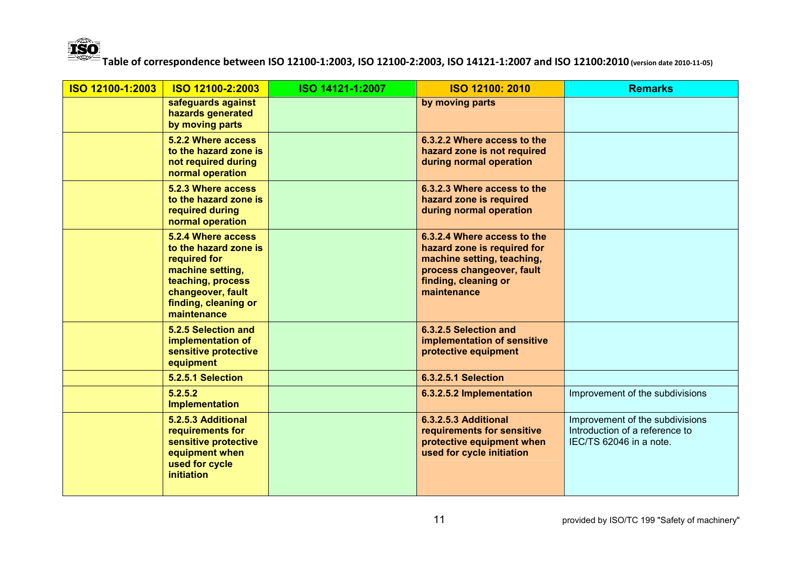

| ISO 12100-1:2003 | ISO 12100-2:2003                                                                                                                                                 | ISO 14121-1:2007 | <b>ISO 12100: 2010</b>                                                                                                                                       | <b>Remarks</b>                                                                               |
|------------------|------------------------------------------------------------------------------------------------------------------------------------------------------------------|------------------|--------------------------------------------------------------------------------------------------------------------------------------------------------------|----------------------------------------------------------------------------------------------|
|                  | safeguards against<br>hazards generated<br>by moving parts                                                                                                       |                  | by moving parts                                                                                                                                              |                                                                                              |
|                  | 5.2.2 Where access<br>to the hazard zone is<br>not required during<br>normal operation                                                                           |                  | 6.3.2.2 Where access to the<br>hazard zone is not required<br>during normal operation                                                                        |                                                                                              |
|                  | 5.2.3 Where access<br>to the hazard zone is<br>required during<br>normal operation                                                                               |                  | 6.3.2.3 Where access to the<br>hazard zone is required<br>during normal operation                                                                            |                                                                                              |
|                  | 5.2.4 Where access<br>to the hazard zone is<br>required for<br>machine setting,<br>teaching, process<br>changeover, fault<br>finding, cleaning or<br>maintenance |                  | 6.3.2.4 Where access to the<br>hazard zone is required for<br>machine setting, teaching,<br>process changeover, fault<br>finding, cleaning or<br>maintenance |                                                                                              |
|                  | 5.2.5 Selection and<br>implementation of<br>sensitive protective<br>equipment                                                                                    |                  | 6.3.2.5 Selection and<br>implementation of sensitive<br>protective equipment                                                                                 |                                                                                              |
|                  | 5.2.5.1 Selection                                                                                                                                                |                  | <b>6.3.2.5.1 Selection</b>                                                                                                                                   |                                                                                              |
|                  | 5.2.5.2<br><b>Implementation</b>                                                                                                                                 |                  | 6.3.2.5.2 Implementation                                                                                                                                     | Improvement of the subdivisions                                                              |
|                  | 5.2.5.3 Additional<br>requirements for<br>sensitive protective<br>equipment when<br>used for cycle<br><i>initiation</i>                                          |                  | 6.3.2.5.3 Additional<br>requirements for sensitive<br>protective equipment when<br>used for cycle initiation                                                 | Improvement of the subdivisions<br>Introduction of a reference to<br>IEC/TS 62046 in a note. |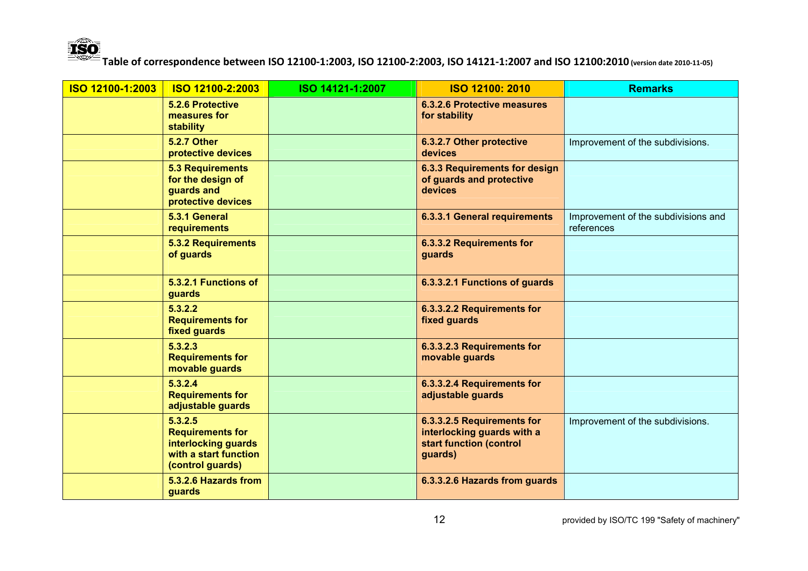

| ISO 12100-1:2003 | ISO 12100-2:2003                                                                                       | ISO 14121-1:2007 | ISO 12100: 2010                                                                                | <b>Remarks</b>                                    |
|------------------|--------------------------------------------------------------------------------------------------------|------------------|------------------------------------------------------------------------------------------------|---------------------------------------------------|
|                  | <b>5.2.6 Protective</b><br>measures for<br>stability                                                   |                  | <b>6.3.2.6 Protective measures</b><br>for stability                                            |                                                   |
|                  | <b>5.2.7 Other</b><br>protective devices                                                               |                  | 6.3.2.7 Other protective<br>devices                                                            | Improvement of the subdivisions.                  |
|                  | <b>5.3 Requirements</b><br>for the design of<br>guards and<br>protective devices                       |                  | 6.3.3 Requirements for design<br>of guards and protective<br>devices                           |                                                   |
|                  | 5.3.1 General<br><b>requirements</b>                                                                   |                  | 6.3.3.1 General requirements                                                                   | Improvement of the subdivisions and<br>references |
|                  | <b>5.3.2 Requirements</b><br>of guards                                                                 |                  | 6.3.3.2 Requirements for<br>guards                                                             |                                                   |
|                  | 5.3.2.1 Functions of<br>guards                                                                         |                  | 6.3.3.2.1 Functions of guards                                                                  |                                                   |
|                  | 5.3.2.2<br><b>Requirements for</b><br><b>fixed guards</b>                                              |                  | 6.3.3.2.2 Requirements for<br>fixed guards                                                     |                                                   |
|                  | 5.3.2.3<br><b>Requirements for</b><br>movable guards                                                   |                  | 6.3.3.2.3 Requirements for<br>movable guards                                                   |                                                   |
|                  | 5.3.2.4<br><b>Requirements for</b><br>adjustable guards                                                |                  | 6.3.3.2.4 Requirements for<br>adjustable guards                                                |                                                   |
|                  | 5.3.2.5<br><b>Requirements for</b><br>interlocking guards<br>with a start function<br>(control guards) |                  | 6.3.3.2.5 Requirements for<br>interlocking guards with a<br>start function (control<br>guards) | Improvement of the subdivisions.                  |
|                  | 5.3.2.6 Hazards from<br>guards                                                                         |                  | 6.3.3.2.6 Hazards from guards                                                                  |                                                   |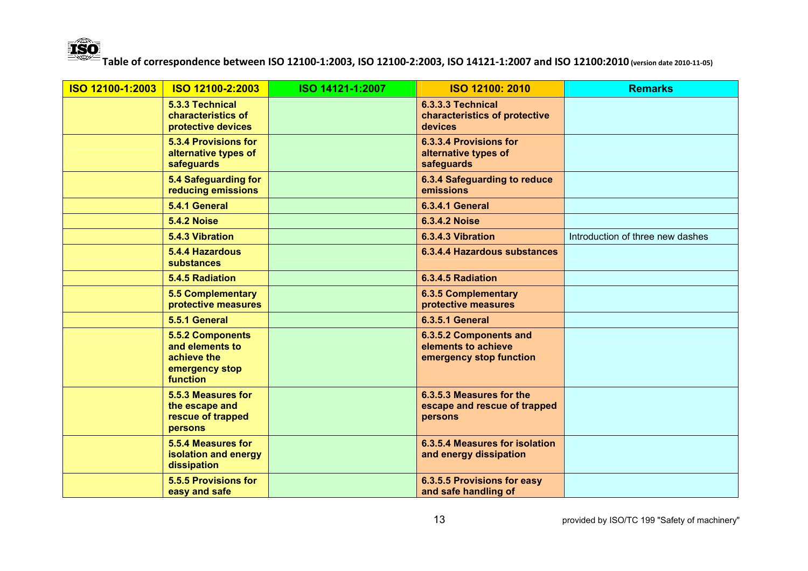

| ISO 12100-1:2003 | ISO 12100-2:2003                                                                        | ISO 14121-1:2007 | <b>ISO 12100: 2010</b>                                                   | <b>Remarks</b>                   |
|------------------|-----------------------------------------------------------------------------------------|------------------|--------------------------------------------------------------------------|----------------------------------|
|                  | 5.3.3 Technical<br>characteristics of<br>protective devices                             |                  | 6.3.3.3 Technical<br>characteristics of protective<br>devices            |                                  |
|                  | <b>5.3.4 Provisions for</b><br>alternative types of<br>safeguards                       |                  | 6.3.3.4 Provisions for<br>alternative types of<br>safeguards             |                                  |
|                  | 5.4 Safeguarding for<br>reducing emissions                                              |                  | 6.3.4 Safeguarding to reduce<br>emissions                                |                                  |
|                  | 5.4.1 General                                                                           |                  | 6.3.4.1 General                                                          |                                  |
|                  | <b>5.4.2 Noise</b>                                                                      |                  | <b>6.3.4.2 Noise</b>                                                     |                                  |
|                  | 5.4.3 Vibration                                                                         |                  | 6.3.4.3 Vibration                                                        | Introduction of three new dashes |
|                  | 5.4.4 Hazardous<br><b>substances</b>                                                    |                  | 6.3.4.4 Hazardous substances                                             |                                  |
|                  | 5.4.5 Radiation                                                                         |                  | 6.3.4.5 Radiation                                                        |                                  |
|                  | <b>5.5 Complementary</b><br>protective measures                                         |                  | <b>6.3.5 Complementary</b><br>protective measures                        |                                  |
|                  | 5.5.1 General                                                                           |                  | <b>6.3.5.1 General</b>                                                   |                                  |
|                  | <b>5.5.2 Components</b><br>and elements to<br>achieve the<br>emergency stop<br>function |                  | 6.3.5.2 Components and<br>elements to achieve<br>emergency stop function |                                  |
|                  | 5.5.3 Measures for<br>the escape and<br>rescue of trapped<br>persons                    |                  | 6.3.5.3 Measures for the<br>escape and rescue of trapped<br>persons      |                                  |
|                  | 5.5.4 Measures for<br>isolation and energy<br>dissipation                               |                  | 6.3.5.4 Measures for isolation<br>and energy dissipation                 |                                  |
|                  | <b>5.5.5 Provisions for</b><br>easy and safe                                            |                  | 6.3.5.5 Provisions for easy<br>and safe handling of                      |                                  |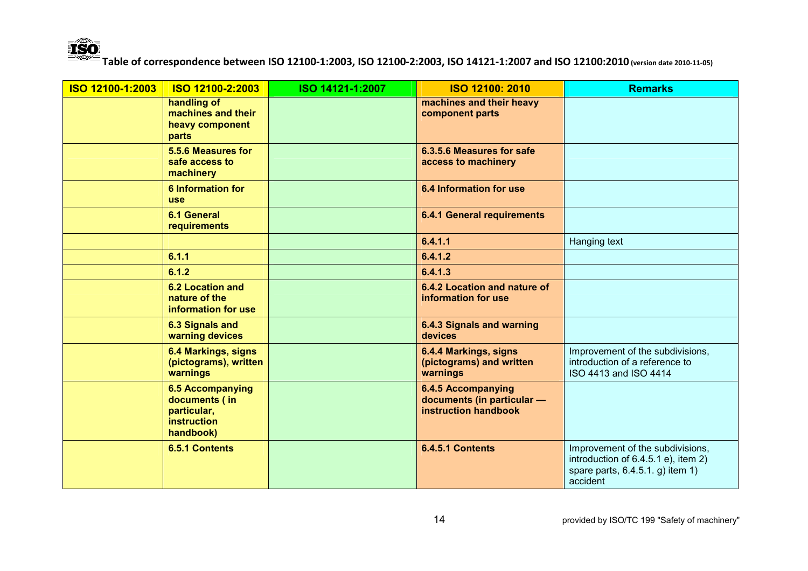

| ISO 12100-1:2003 | ISO 12100-2:2003                                                                           | ISO 14121-1:2007 | <b>ISO 12100: 2010</b>                                                          | <b>Remarks</b>                                                                                                          |
|------------------|--------------------------------------------------------------------------------------------|------------------|---------------------------------------------------------------------------------|-------------------------------------------------------------------------------------------------------------------------|
|                  | handling of<br>machines and their<br>heavy component<br>parts                              |                  | machines and their heavy<br>component parts                                     |                                                                                                                         |
|                  | 5.5.6 Measures for<br>safe access to<br>machinery                                          |                  | 6.3.5.6 Measures for safe<br>access to machinery                                |                                                                                                                         |
|                  | <b>6 Information for</b><br>use                                                            |                  | <b>6.4 Information for use</b>                                                  |                                                                                                                         |
|                  | <b>6.1 General</b><br>requirements                                                         |                  | <b>6.4.1 General requirements</b>                                               |                                                                                                                         |
|                  |                                                                                            |                  | 6.4.1.1                                                                         | Hanging text                                                                                                            |
|                  | 6.1.1                                                                                      |                  | 6.4.1.2                                                                         |                                                                                                                         |
|                  | 6.1.2                                                                                      |                  | 6.4.1.3                                                                         |                                                                                                                         |
|                  | <b>6.2 Location and</b><br>nature of the<br>information for use                            |                  | 6.4.2 Location and nature of<br>information for use                             |                                                                                                                         |
|                  | <b>6.3 Signals and</b><br>warning devices                                                  |                  | <b>6.4.3 Signals and warning</b><br>devices                                     |                                                                                                                         |
|                  | 6.4 Markings, signs<br>(pictograms), written<br>warnings                                   |                  | 6.4.4 Markings, signs<br>(pictograms) and written<br>warnings                   | Improvement of the subdivisions,<br>introduction of a reference to<br>ISO 4413 and ISO 4414                             |
|                  | <b>6.5 Accompanying</b><br>documents (in<br>particular,<br><b>instruction</b><br>handbook) |                  | 6.4.5 Accompanying<br>documents (in particular -<br><b>instruction handbook</b> |                                                                                                                         |
|                  | <b>6.5.1 Contents</b>                                                                      |                  | <b>6.4.5.1 Contents</b>                                                         | Improvement of the subdivisions,<br>introduction of 6.4.5.1 e), item 2)<br>spare parts, 6.4.5.1. g) item 1)<br>accident |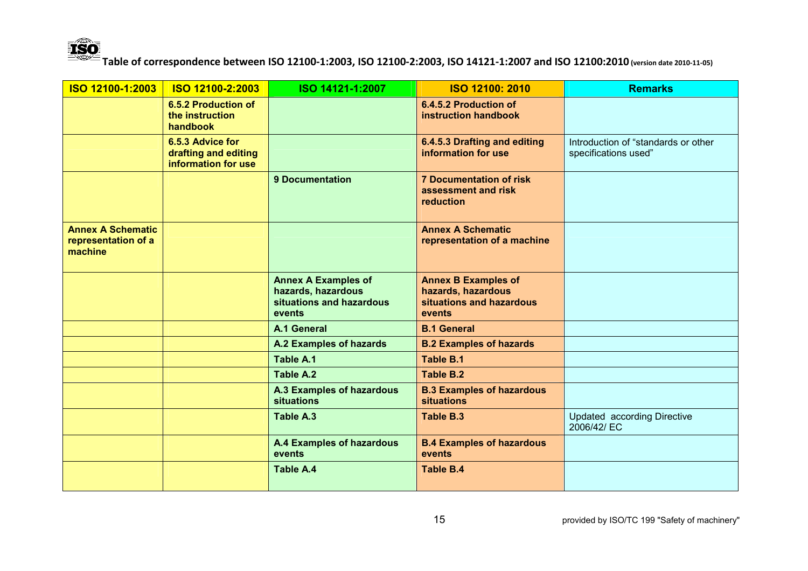

| ISO 12100-1:2003                                           | ISO 12100-2:2003                                                | ISO 14121-1:2007                                                                       | ISO 12100: 2010                                                                        | <b>Remarks</b>                                              |
|------------------------------------------------------------|-----------------------------------------------------------------|----------------------------------------------------------------------------------------|----------------------------------------------------------------------------------------|-------------------------------------------------------------|
|                                                            | 6.5.2 Production of<br>the instruction<br>handbook              |                                                                                        | 6.4.5.2 Production of<br>instruction handbook                                          |                                                             |
|                                                            | 6.5.3 Advice for<br>drafting and editing<br>information for use |                                                                                        | 6.4.5.3 Drafting and editing<br>information for use                                    | Introduction of "standards or other<br>specifications used" |
|                                                            |                                                                 | <b>9 Documentation</b>                                                                 | <b>7 Documentation of risk</b><br>assessment and risk<br>reduction                     |                                                             |
| <b>Annex A Schematic</b><br>representation of a<br>machine |                                                                 |                                                                                        | <b>Annex A Schematic</b><br>representation of a machine                                |                                                             |
|                                                            |                                                                 | <b>Annex A Examples of</b><br>hazards, hazardous<br>situations and hazardous<br>events | <b>Annex B Examples of</b><br>hazards, hazardous<br>situations and hazardous<br>events |                                                             |
|                                                            |                                                                 | A.1 General                                                                            | <b>B.1 General</b>                                                                     |                                                             |
|                                                            |                                                                 | A.2 Examples of hazards                                                                | <b>B.2 Examples of hazards</b>                                                         |                                                             |
|                                                            |                                                                 | Table A.1                                                                              | Table B.1                                                                              |                                                             |
|                                                            |                                                                 | Table A.2                                                                              | Table B.2                                                                              |                                                             |
|                                                            |                                                                 | <b>A.3 Examples of hazardous</b><br><b>situations</b>                                  | <b>B.3 Examples of hazardous</b><br><b>situations</b>                                  |                                                             |
|                                                            |                                                                 | Table A.3                                                                              | <b>Table B.3</b>                                                                       | <b>Updated according Directive</b><br>2006/42/ EC           |
|                                                            |                                                                 | A.4 Examples of hazardous<br>events                                                    | <b>B.4 Examples of hazardous</b><br>events                                             |                                                             |
|                                                            |                                                                 | <b>Table A.4</b>                                                                       | <b>Table B.4</b>                                                                       |                                                             |